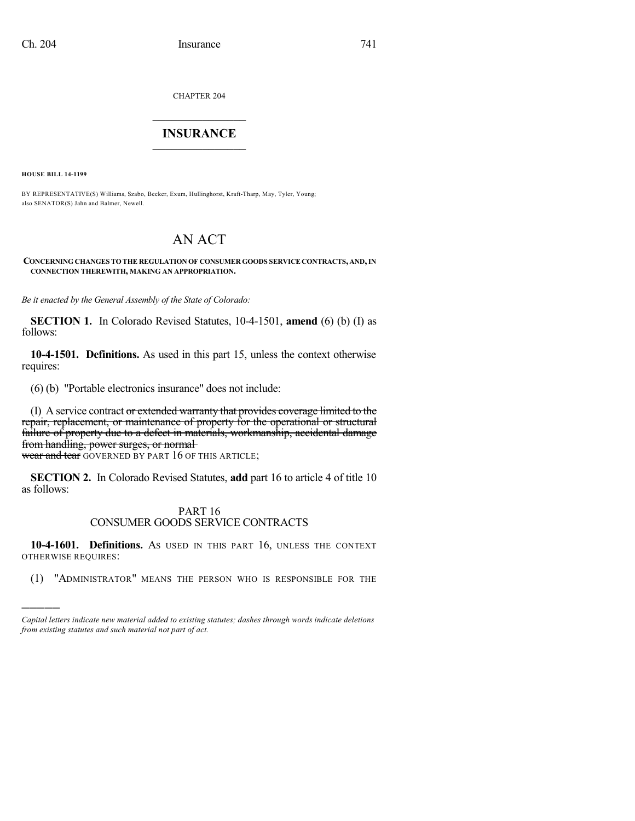CHAPTER 204

## $\overline{\phantom{a}}$  . The set of the set of the set of the set of the set of the set of the set of the set of the set of the set of the set of the set of the set of the set of the set of the set of the set of the set of the set o **INSURANCE**  $\frac{1}{2}$  ,  $\frac{1}{2}$  ,  $\frac{1}{2}$  ,  $\frac{1}{2}$  ,  $\frac{1}{2}$  ,  $\frac{1}{2}$  ,  $\frac{1}{2}$

**HOUSE BILL 14-1199**

)))))

BY REPRESENTATIVE(S) Williams, Szabo, Becker, Exum, Hullinghorst, Kraft-Tharp, May, Tyler, Young; also SENATOR(S) Jahn and Balmer, Newell.

# AN ACT

### **CONCERNING CHANGES TO THE REGULATION OF CONSUMER GOODS SERVICE CONTRACTS, AND,IN CONNECTION THEREWITH, MAKING AN APPROPRIATION.**

*Be it enacted by the General Assembly of the State of Colorado:*

**SECTION 1.** In Colorado Revised Statutes, 10-4-1501, **amend** (6) (b) (I) as follows:

**10-4-1501. Definitions.** As used in this part 15, unless the context otherwise requires:

(6) (b) "Portable electronics insurance" does not include:

(I) A service contract or extended warranty that provides coverage limited to the repair, replacement, or maintenance of property for the operational or structural failure of property due to a defect in materials, workmanship, accidental damage from handling, power surges, or normal-

wear and tear GOVERNED BY PART 16 OF THIS ARTICLE;

**SECTION 2.** In Colorado Revised Statutes, **add** part 16 to article 4 of title 10 as follows:

### PART 16 CONSUMER GOODS SERVICE CONTRACTS

**10-4-1601. Definitions.** AS USED IN THIS PART 16, UNLESS THE CONTEXT OTHERWISE REQUIRES:

(1) "ADMINISTRATOR" MEANS THE PERSON WHO IS RESPONSIBLE FOR THE

*Capital letters indicate new material added to existing statutes; dashes through words indicate deletions from existing statutes and such material not part of act.*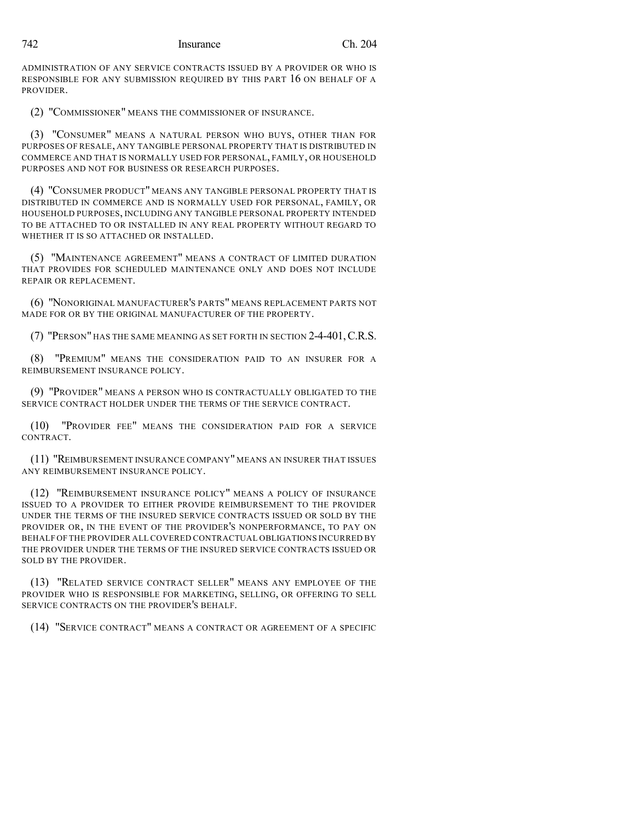ADMINISTRATION OF ANY SERVICE CONTRACTS ISSUED BY A PROVIDER OR WHO IS RESPONSIBLE FOR ANY SUBMISSION REQUIRED BY THIS PART 16 ON BEHALF OF A PROVIDER.

(2) "COMMISSIONER" MEANS THE COMMISSIONER OF INSURANCE.

(3) "CONSUMER" MEANS A NATURAL PERSON WHO BUYS, OTHER THAN FOR PURPOSES OF RESALE, ANY TANGIBLE PERSONAL PROPERTY THAT IS DISTRIBUTED IN COMMERCE AND THAT IS NORMALLY USED FOR PERSONAL, FAMILY, OR HOUSEHOLD PURPOSES AND NOT FOR BUSINESS OR RESEARCH PURPOSES.

(4) "CONSUMER PRODUCT" MEANS ANY TANGIBLE PERSONAL PROPERTY THAT IS DISTRIBUTED IN COMMERCE AND IS NORMALLY USED FOR PERSONAL, FAMILY, OR HOUSEHOLD PURPOSES, INCLUDING ANY TANGIBLE PERSONAL PROPERTY INTENDED TO BE ATTACHED TO OR INSTALLED IN ANY REAL PROPERTY WITHOUT REGARD TO WHETHER IT IS SO ATTACHED OR INSTALLED.

(5) "MAINTENANCE AGREEMENT" MEANS A CONTRACT OF LIMITED DURATION THAT PROVIDES FOR SCHEDULED MAINTENANCE ONLY AND DOES NOT INCLUDE REPAIR OR REPLACEMENT.

(6) "NONORIGINAL MANUFACTURER'S PARTS" MEANS REPLACEMENT PARTS NOT MADE FOR OR BY THE ORIGINAL MANUFACTURER OF THE PROPERTY.

(7) "PERSON" HAS THE SAME MEANING AS SET FORTH IN SECTION 2-4-401,C.R.S.

(8) "PREMIUM" MEANS THE CONSIDERATION PAID TO AN INSURER FOR A REIMBURSEMENT INSURANCE POLICY.

(9) "PROVIDER" MEANS A PERSON WHO IS CONTRACTUALLY OBLIGATED TO THE SERVICE CONTRACT HOLDER UNDER THE TERMS OF THE SERVICE CONTRACT.

(10) "PROVIDER FEE" MEANS THE CONSIDERATION PAID FOR A SERVICE CONTRACT.

(11) "REIMBURSEMENT INSURANCE COMPANY" MEANS AN INSURER THAT ISSUES ANY REIMBURSEMENT INSURANCE POLICY.

(12) "REIMBURSEMENT INSURANCE POLICY" MEANS A POLICY OF INSURANCE ISSUED TO A PROVIDER TO EITHER PROVIDE REIMBURSEMENT TO THE PROVIDER UNDER THE TERMS OF THE INSURED SERVICE CONTRACTS ISSUED OR SOLD BY THE PROVIDER OR, IN THE EVENT OF THE PROVIDER'S NONPERFORMANCE, TO PAY ON BEHALF OF THE PROVIDER ALL COVERED CONTRACTUAL OBLIGATIONS INCURRED BY THE PROVIDER UNDER THE TERMS OF THE INSURED SERVICE CONTRACTS ISSUED OR SOLD BY THE PROVIDER.

(13) "RELATED SERVICE CONTRACT SELLER" MEANS ANY EMPLOYEE OF THE PROVIDER WHO IS RESPONSIBLE FOR MARKETING, SELLING, OR OFFERING TO SELL SERVICE CONTRACTS ON THE PROVIDER'S BEHALF.

(14) "SERVICE CONTRACT" MEANS A CONTRACT OR AGREEMENT OF A SPECIFIC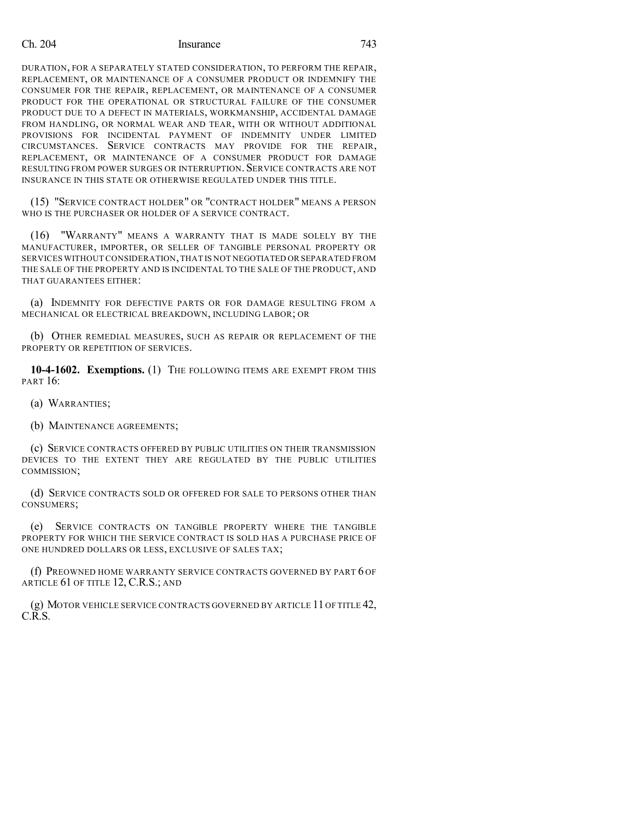### Ch. 204 Insurance 743

DURATION, FOR A SEPARATELY STATED CONSIDERATION, TO PERFORM THE REPAIR, REPLACEMENT, OR MAINTENANCE OF A CONSUMER PRODUCT OR INDEMNIFY THE CONSUMER FOR THE REPAIR, REPLACEMENT, OR MAINTENANCE OF A CONSUMER PRODUCT FOR THE OPERATIONAL OR STRUCTURAL FAILURE OF THE CONSUMER PRODUCT DUE TO A DEFECT IN MATERIALS, WORKMANSHIP, ACCIDENTAL DAMAGE FROM HANDLING, OR NORMAL WEAR AND TEAR, WITH OR WITHOUT ADDITIONAL PROVISIONS FOR INCIDENTAL PAYMENT OF INDEMNITY UNDER LIMITED CIRCUMSTANCES. SERVICE CONTRACTS MAY PROVIDE FOR THE REPAIR, REPLACEMENT, OR MAINTENANCE OF A CONSUMER PRODUCT FOR DAMAGE RESULTING FROM POWER SURGES OR INTERRUPTION. SERVICE CONTRACTS ARE NOT INSURANCE IN THIS STATE OR OTHERWISE REGULATED UNDER THIS TITLE.

(15) "SERVICE CONTRACT HOLDER" OR "CONTRACT HOLDER" MEANS A PERSON WHO IS THE PURCHASER OR HOLDER OF A SERVICE CONTRACT.

(16) "WARRANTY" MEANS A WARRANTY THAT IS MADE SOLELY BY THE MANUFACTURER, IMPORTER, OR SELLER OF TANGIBLE PERSONAL PROPERTY OR SERVICES WITHOUT CONSIDERATION,THAT IS NOT NEGOTIATED OR SEPARATED FROM THE SALE OF THE PROPERTY AND IS INCIDENTAL TO THE SALE OF THE PRODUCT, AND THAT GUARANTEES EITHER:

(a) INDEMNITY FOR DEFECTIVE PARTS OR FOR DAMAGE RESULTING FROM A MECHANICAL OR ELECTRICAL BREAKDOWN, INCLUDING LABOR; OR

(b) OTHER REMEDIAL MEASURES, SUCH AS REPAIR OR REPLACEMENT OF THE PROPERTY OR REPETITION OF SERVICES.

**10-4-1602. Exemptions.** (1) THE FOLLOWING ITEMS ARE EXEMPT FROM THIS PART 16:

(a) WARRANTIES;

(b) MAINTENANCE AGREEMENTS;

(c) SERVICE CONTRACTS OFFERED BY PUBLIC UTILITIES ON THEIR TRANSMISSION DEVICES TO THE EXTENT THEY ARE REGULATED BY THE PUBLIC UTILITIES COMMISSION;

(d) SERVICE CONTRACTS SOLD OR OFFERED FOR SALE TO PERSONS OTHER THAN CONSUMERS;

(e) SERVICE CONTRACTS ON TANGIBLE PROPERTY WHERE THE TANGIBLE PROPERTY FOR WHICH THE SERVICE CONTRACT IS SOLD HAS A PURCHASE PRICE OF ONE HUNDRED DOLLARS OR LESS, EXCLUSIVE OF SALES TAX;

(f) PREOWNED HOME WARRANTY SERVICE CONTRACTS GOVERNED BY PART 6 OF ARTICLE 61 OF TITLE 12, C.R.S.; AND

(g) MOTOR VEHICLE SERVICE CONTRACTS GOVERNED BY ARTICLE 11 OF TITLE 42, C.R.S.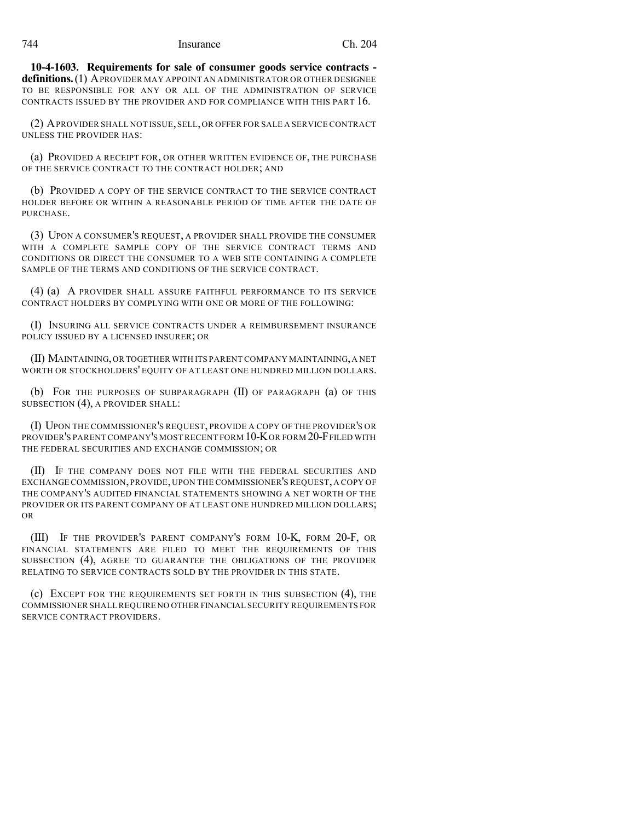**10-4-1603. Requirements for sale of consumer goods service contracts definitions.**(1) APROVIDER MAY APPOINT AN ADMINISTRATOR OR OTHER DESIGNEE TO BE RESPONSIBLE FOR ANY OR ALL OF THE ADMINISTRATION OF SERVICE CONTRACTS ISSUED BY THE PROVIDER AND FOR COMPLIANCE WITH THIS PART 16.

(2) APROVIDER SHALL NOT ISSUE,SELL,OR OFFER FOR SALE A SERVICE CONTRACT UNLESS THE PROVIDER HAS:

(a) PROVIDED A RECEIPT FOR, OR OTHER WRITTEN EVIDENCE OF, THE PURCHASE OF THE SERVICE CONTRACT TO THE CONTRACT HOLDER; AND

(b) PROVIDED A COPY OF THE SERVICE CONTRACT TO THE SERVICE CONTRACT HOLDER BEFORE OR WITHIN A REASONABLE PERIOD OF TIME AFTER THE DATE OF PURCHASE.

(3) UPON A CONSUMER'S REQUEST, A PROVIDER SHALL PROVIDE THE CONSUMER WITH A COMPLETE SAMPLE COPY OF THE SERVICE CONTRACT TERMS AND CONDITIONS OR DIRECT THE CONSUMER TO A WEB SITE CONTAINING A COMPLETE SAMPLE OF THE TERMS AND CONDITIONS OF THE SERVICE CONTRACT.

(4) (a) A PROVIDER SHALL ASSURE FAITHFUL PERFORMANCE TO ITS SERVICE CONTRACT HOLDERS BY COMPLYING WITH ONE OR MORE OF THE FOLLOWING:

(I) INSURING ALL SERVICE CONTRACTS UNDER A REIMBURSEMENT INSURANCE POLICY ISSUED BY A LICENSED INSURER; OR

(II) MAINTAINING,OR TOGETHER WITH ITS PARENT COMPANY MAINTAINING,A NET WORTH OR STOCKHOLDERS' EQUITY OF AT LEAST ONE HUNDRED MILLION DOLLARS.

(b) FOR THE PURPOSES OF SUBPARAGRAPH (II) OF PARAGRAPH (a) OF THIS SUBSECTION (4), A PROVIDER SHALL:

(I) UPON THE COMMISSIONER'S REQUEST, PROVIDE A COPY OF THE PROVIDER'S OR PROVIDER'S PARENT COMPANY'S MOSTRECENT FORM 10-KOR FORM 20-FFILED WITH THE FEDERAL SECURITIES AND EXCHANGE COMMISSION; OR

(II) IF THE COMPANY DOES NOT FILE WITH THE FEDERAL SECURITIES AND EXCHANGE COMMISSION,PROVIDE, UPON THE COMMISSIONER'S REQUEST, A COPY OF THE COMPANY'S AUDITED FINANCIAL STATEMENTS SHOWING A NET WORTH OF THE PROVIDER OR ITS PARENT COMPANY OF AT LEAST ONE HUNDRED MILLION DOLLARS; OR

(III) IF THE PROVIDER'S PARENT COMPANY'S FORM 10-K, FORM 20-F, OR FINANCIAL STATEMENTS ARE FILED TO MEET THE REQUIREMENTS OF THIS SUBSECTION (4), AGREE TO GUARANTEE THE OBLIGATIONS OF THE PROVIDER RELATING TO SERVICE CONTRACTS SOLD BY THE PROVIDER IN THIS STATE.

(c) EXCEPT FOR THE REQUIREMENTS SET FORTH IN THIS SUBSECTION (4), THE COMMISSIONER SHALLREQUIRE NO OTHER FINANCIAL SECURITY REQUIREMENTS FOR SERVICE CONTRACT PROVIDERS.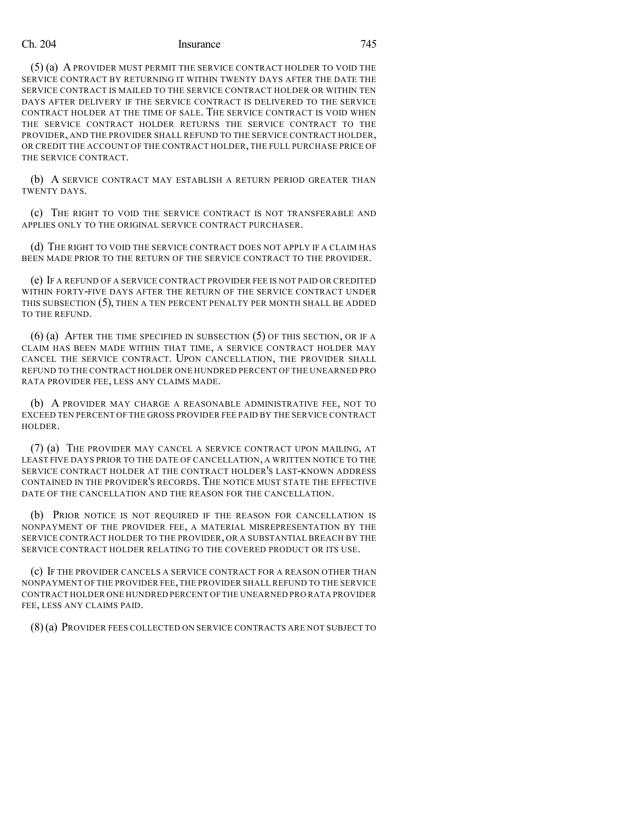### Ch. 204 Insurance 745

(5) (a) A PROVIDER MUST PERMIT THE SERVICE CONTRACT HOLDER TO VOID THE SERVICE CONTRACT BY RETURNING IT WITHIN TWENTY DAYS AFTER THE DATE THE SERVICE CONTRACT IS MAILED TO THE SERVICE CONTRACT HOLDER OR WITHIN TEN DAYS AFTER DELIVERY IF THE SERVICE CONTRACT IS DELIVERED TO THE SERVICE CONTRACT HOLDER AT THE TIME OF SALE. THE SERVICE CONTRACT IS VOID WHEN THE SERVICE CONTRACT HOLDER RETURNS THE SERVICE CONTRACT TO THE PROVIDER, AND THE PROVIDER SHALL REFUND TO THE SERVICE CONTRACT HOLDER, OR CREDIT THE ACCOUNT OF THE CONTRACT HOLDER, THE FULL PURCHASE PRICE OF THE SERVICE CONTRACT.

(b) A SERVICE CONTRACT MAY ESTABLISH A RETURN PERIOD GREATER THAN TWENTY DAYS.

(c) THE RIGHT TO VOID THE SERVICE CONTRACT IS NOT TRANSFERABLE AND APPLIES ONLY TO THE ORIGINAL SERVICE CONTRACT PURCHASER.

(d) THE RIGHT TO VOID THE SERVICE CONTRACT DOES NOT APPLY IF A CLAIM HAS BEEN MADE PRIOR TO THE RETURN OF THE SERVICE CONTRACT TO THE PROVIDER.

(e) IF A REFUND OF A SERVICE CONTRACT PROVIDER FEE IS NOT PAID OR CREDITED WITHIN FORTY-FIVE DAYS AFTER THE RETURN OF THE SERVICE CONTRACT UNDER THIS SUBSECTION  $(5)$ , THEN A TEN PERCENT PENALTY PER MONTH SHALL BE ADDED TO THE REFUND.

(6) (a) AFTER THE TIME SPECIFIED IN SUBSECTION (5) OF THIS SECTION, OR IF A CLAIM HAS BEEN MADE WITHIN THAT TIME, A SERVICE CONTRACT HOLDER MAY CANCEL THE SERVICE CONTRACT. UPON CANCELLATION, THE PROVIDER SHALL REFUND TO THE CONTRACT HOLDER ONE HUNDRED PERCENT OF THE UNEARNED PRO RATA PROVIDER FEE, LESS ANY CLAIMS MADE.

(b) A PROVIDER MAY CHARGE A REASONABLE ADMINISTRATIVE FEE, NOT TO EXCEED TEN PERCENT OF THE GROSS PROVIDER FEE PAID BY THE SERVICE CONTRACT HOLDER.

(7) (a) THE PROVIDER MAY CANCEL A SERVICE CONTRACT UPON MAILING, AT LEAST FIVE DAYS PRIOR TO THE DATE OF CANCELLATION, A WRITTEN NOTICE TO THE SERVICE CONTRACT HOLDER AT THE CONTRACT HOLDER'S LAST-KNOWN ADDRESS CONTAINED IN THE PROVIDER'S RECORDS. THE NOTICE MUST STATE THE EFFECTIVE DATE OF THE CANCELLATION AND THE REASON FOR THE CANCELLATION.

(b) PRIOR NOTICE IS NOT REQUIRED IF THE REASON FOR CANCELLATION IS NONPAYMENT OF THE PROVIDER FEE, A MATERIAL MISREPRESENTATION BY THE SERVICE CONTRACT HOLDER TO THE PROVIDER, OR A SUBSTANTIAL BREACH BY THE SERVICE CONTRACT HOLDER RELATING TO THE COVERED PRODUCT OR ITS USE.

(c) IF THE PROVIDER CANCELS A SERVICE CONTRACT FOR A REASON OTHER THAN NONPAYMENT OF THE PROVIDER FEE, THE PROVIDER SHALL REFUND TO THE SERVICE CONTRACT HOLDER ONE HUNDRED PERCENT OFTHE UNEARNED PRO RATA PROVIDER FEE, LESS ANY CLAIMS PAID.

(8)(a) PROVIDER FEES COLLECTED ON SERVICE CONTRACTS ARE NOT SUBJECT TO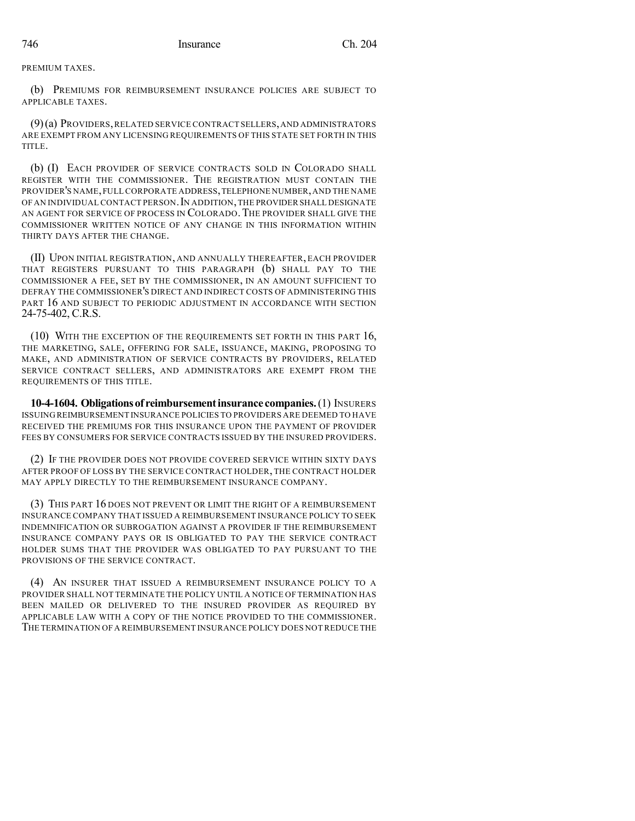PREMIUM TAXES.

(b) PREMIUMS FOR REIMBURSEMENT INSURANCE POLICIES ARE SUBJECT TO APPLICABLE TAXES.

(9)(a) PROVIDERS,RELATED SERVICE CONTRACT SELLERS,AND ADMINISTRATORS ARE EXEMPT FROM ANY LICENSING REQUIREMENTS OF THIS STATE SET FORTH IN THIS TITLE.

(b) (I) EACH PROVIDER OF SERVICE CONTRACTS SOLD IN COLORADO SHALL REGISTER WITH THE COMMISSIONER. THE REGISTRATION MUST CONTAIN THE PROVIDER'S NAME,FULL CORPORATE ADDRESS,TELEPHONE NUMBER,AND THE NAME OF AN INDIVIDUAL CONTACT PERSON.IN ADDITION,THE PROVIDERSHALL DESIGNATE AN AGENT FOR SERVICE OF PROCESS IN COLORADO. THE PROVIDER SHALL GIVE THE COMMISSIONER WRITTEN NOTICE OF ANY CHANGE IN THIS INFORMATION WITHIN THIRTY DAYS AFTER THE CHANGE.

(II) UPON INITIAL REGISTRATION, AND ANNUALLY THEREAFTER, EACH PROVIDER THAT REGISTERS PURSUANT TO THIS PARAGRAPH (b) SHALL PAY TO THE COMMISSIONER A FEE, SET BY THE COMMISSIONER, IN AN AMOUNT SUFFICIENT TO DEFRAY THE COMMISSIONER'S DIRECT AND INDIRECT COSTS OF ADMINISTERING THIS PART 16 AND SUBJECT TO PERIODIC ADJUSTMENT IN ACCORDANCE WITH SECTION 24-75-402, C.R.S.

(10) WITH THE EXCEPTION OF THE REQUIREMENTS SET FORTH IN THIS PART 16, THE MARKETING, SALE, OFFERING FOR SALE, ISSUANCE, MAKING, PROPOSING TO MAKE, AND ADMINISTRATION OF SERVICE CONTRACTS BY PROVIDERS, RELATED SERVICE CONTRACT SELLERS, AND ADMINISTRATORS ARE EXEMPT FROM THE REQUIREMENTS OF THIS TITLE.

**10-4-1604. Obligationsof reimbursementinsurance companies.**(1) INSURERS ISSUING REIMBURSEMENT INSURANCE POLICIES TO PROVIDERS ARE DEEMED TO HAVE RECEIVED THE PREMIUMS FOR THIS INSURANCE UPON THE PAYMENT OF PROVIDER FEES BY CONSUMERS FOR SERVICE CONTRACTS ISSUED BY THE INSURED PROVIDERS.

(2) IF THE PROVIDER DOES NOT PROVIDE COVERED SERVICE WITHIN SIXTY DAYS AFTER PROOF OF LOSS BY THE SERVICE CONTRACT HOLDER, THE CONTRACT HOLDER MAY APPLY DIRECTLY TO THE REIMBURSEMENT INSURANCE COMPANY.

(3) THIS PART 16 DOES NOT PREVENT OR LIMIT THE RIGHT OF A REIMBURSEMENT INSURANCE COMPANY THAT ISSUED A REIMBURSEMENT INSURANCE POLICY TO SEEK INDEMNIFICATION OR SUBROGATION AGAINST A PROVIDER IF THE REIMBURSEMENT INSURANCE COMPANY PAYS OR IS OBLIGATED TO PAY THE SERVICE CONTRACT HOLDER SUMS THAT THE PROVIDER WAS OBLIGATED TO PAY PURSUANT TO THE PROVISIONS OF THE SERVICE CONTRACT.

(4) AN INSURER THAT ISSUED A REIMBURSEMENT INSURANCE POLICY TO A PROVIDER SHALL NOT TERMINATE THE POLICY UNTIL A NOTICE OF TERMINATION HAS BEEN MAILED OR DELIVERED TO THE INSURED PROVIDER AS REQUIRED BY APPLICABLE LAW WITH A COPY OF THE NOTICE PROVIDED TO THE COMMISSIONER. THE TERMINATION OF A REIMBURSEMENT INSURANCE POLICY DOES NOT REDUCE THE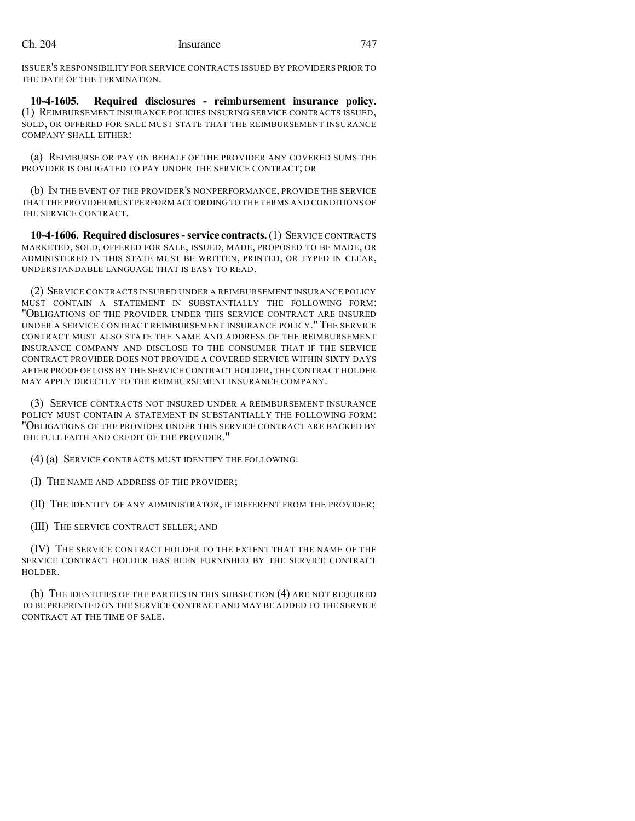ISSUER'S RESPONSIBILITY FOR SERVICE CONTRACTS ISSUED BY PROVIDERS PRIOR TO THE DATE OF THE TERMINATION.

**10-4-1605. Required disclosures - reimbursement insurance policy.** (1) REIMBURSEMENT INSURANCE POLICIES INSURING SERVICE CONTRACTS ISSUED, SOLD, OR OFFERED FOR SALE MUST STATE THAT THE REIMBURSEMENT INSURANCE COMPANY SHALL EITHER:

(a) REIMBURSE OR PAY ON BEHALF OF THE PROVIDER ANY COVERED SUMS THE PROVIDER IS OBLIGATED TO PAY UNDER THE SERVICE CONTRACT; OR

(b) IN THE EVENT OF THE PROVIDER'S NONPERFORMANCE, PROVIDE THE SERVICE THAT THE PROVIDER MUST PERFORM ACCORDING TO THE TERMS AND CONDITIONS OF THE SERVICE CONTRACT.

**10-4-1606. Required disclosures-service contracts.**(1) SERVICE CONTRACTS MARKETED, SOLD, OFFERED FOR SALE, ISSUED, MADE, PROPOSED TO BE MADE, OR ADMINISTERED IN THIS STATE MUST BE WRITTEN, PRINTED, OR TYPED IN CLEAR, UNDERSTANDABLE LANGUAGE THAT IS EASY TO READ.

(2) SERVICE CONTRACTS INSURED UNDER A REIMBURSEMENT INSURANCE POLICY MUST CONTAIN A STATEMENT IN SUBSTANTIALLY THE FOLLOWING FORM: "OBLIGATIONS OF THE PROVIDER UNDER THIS SERVICE CONTRACT ARE INSURED UNDER A SERVICE CONTRACT REIMBURSEMENT INSURANCE POLICY." THE SERVICE CONTRACT MUST ALSO STATE THE NAME AND ADDRESS OF THE REIMBURSEMENT INSURANCE COMPANY AND DISCLOSE TO THE CONSUMER THAT IF THE SERVICE CONTRACT PROVIDER DOES NOT PROVIDE A COVERED SERVICE WITHIN SIXTY DAYS AFTER PROOF OF LOSS BY THE SERVICE CONTRACT HOLDER, THE CONTRACT HOLDER MAY APPLY DIRECTLY TO THE REIMBURSEMENT INSURANCE COMPANY.

(3) SERVICE CONTRACTS NOT INSURED UNDER A REIMBURSEMENT INSURANCE POLICY MUST CONTAIN A STATEMENT IN SUBSTANTIALLY THE FOLLOWING FORM: "OBLIGATIONS OF THE PROVIDER UNDER THIS SERVICE CONTRACT ARE BACKED BY THE FULL FAITH AND CREDIT OF THE PROVIDER."

(4) (a) SERVICE CONTRACTS MUST IDENTIFY THE FOLLOWING:

(I) THE NAME AND ADDRESS OF THE PROVIDER;

(II) THE IDENTITY OF ANY ADMINISTRATOR, IF DIFFERENT FROM THE PROVIDER;

(III) THE SERVICE CONTRACT SELLER; AND

(IV) THE SERVICE CONTRACT HOLDER TO THE EXTENT THAT THE NAME OF THE SERVICE CONTRACT HOLDER HAS BEEN FURNISHED BY THE SERVICE CONTRACT HOLDER.

(b) THE IDENTITIES OF THE PARTIES IN THIS SUBSECTION (4) ARE NOT REQUIRED TO BE PREPRINTED ON THE SERVICE CONTRACT AND MAY BE ADDED TO THE SERVICE CONTRACT AT THE TIME OF SALE.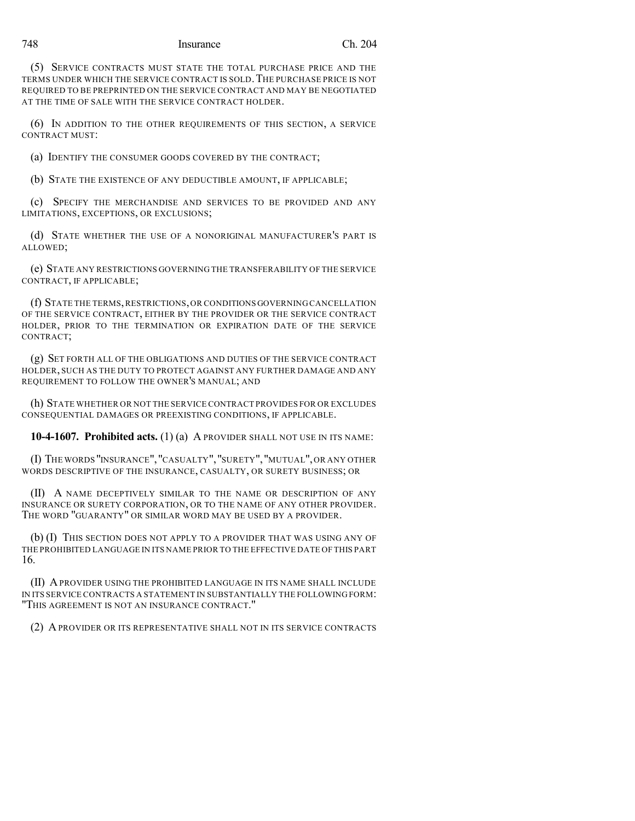### 748 Insurance Ch. 204

(5) SERVICE CONTRACTS MUST STATE THE TOTAL PURCHASE PRICE AND THE TERMS UNDER WHICH THE SERVICE CONTRACT IS SOLD.THE PURCHASE PRICE IS NOT REQUIRED TO BE PREPRINTED ON THE SERVICE CONTRACT AND MAY BE NEGOTIATED AT THE TIME OF SALE WITH THE SERVICE CONTRACT HOLDER.

(6) IN ADDITION TO THE OTHER REQUIREMENTS OF THIS SECTION, A SERVICE CONTRACT MUST:

(a) IDENTIFY THE CONSUMER GOODS COVERED BY THE CONTRACT;

(b) STATE THE EXISTENCE OF ANY DEDUCTIBLE AMOUNT, IF APPLICABLE;

(c) SPECIFY THE MERCHANDISE AND SERVICES TO BE PROVIDED AND ANY LIMITATIONS, EXCEPTIONS, OR EXCLUSIONS;

(d) STATE WHETHER THE USE OF A NONORIGINAL MANUFACTURER'S PART IS ALLOWED;

(e) STATE ANY RESTRICTIONS GOVERNING THE TRANSFERABILITY OF THE SERVICE CONTRACT, IF APPLICABLE;

(f) STATE THE TERMS,RESTRICTIONS,OR CONDITIONS GOVERNING CANCELLATION OF THE SERVICE CONTRACT, EITHER BY THE PROVIDER OR THE SERVICE CONTRACT HOLDER, PRIOR TO THE TERMINATION OR EXPIRATION DATE OF THE SERVICE CONTRACT;

(g) SET FORTH ALL OF THE OBLIGATIONS AND DUTIES OF THE SERVICE CONTRACT HOLDER, SUCH AS THE DUTY TO PROTECT AGAINST ANY FURTHER DAMAGE AND ANY REQUIREMENT TO FOLLOW THE OWNER'S MANUAL; AND

(h) STATE WHETHER OR NOT THE SERVICE CONTRACT PROVIDES FOR OR EXCLUDES CONSEQUENTIAL DAMAGES OR PREEXISTING CONDITIONS, IF APPLICABLE.

**10-4-1607. Prohibited acts.** (1) (a) A PROVIDER SHALL NOT USE IN ITS NAME:

(I) THE WORDS "INSURANCE","CASUALTY","SURETY","MUTUAL",OR ANY OTHER WORDS DESCRIPTIVE OF THE INSURANCE, CASUALTY, OR SURETY BUSINESS; OR

(II) A NAME DECEPTIVELY SIMILAR TO THE NAME OR DESCRIPTION OF ANY INSURANCE OR SURETY CORPORATION, OR TO THE NAME OF ANY OTHER PROVIDER. THE WORD "GUARANTY" OR SIMILAR WORD MAY BE USED BY A PROVIDER.

(b) (I) THIS SECTION DOES NOT APPLY TO A PROVIDER THAT WAS USING ANY OF THE PROHIBITED LANGUAGE IN ITS NAME PRIOR TO THE EFFECTIVE DATE OF THIS PART 16.

(II) APROVIDER USING THE PROHIBITED LANGUAGE IN ITS NAME SHALL INCLUDE IN ITS SERVICE CONTRACTS A STATEMENT IN SUBSTANTIALLY THE FOLLOWING FORM: "THIS AGREEMENT IS NOT AN INSURANCE CONTRACT."

(2) A PROVIDER OR ITS REPRESENTATIVE SHALL NOT IN ITS SERVICE CONTRACTS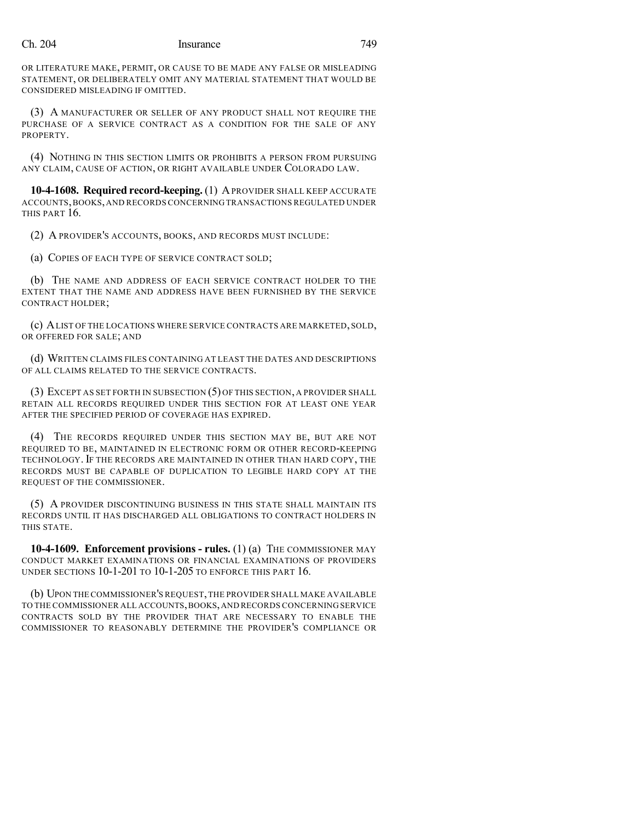### Ch. 204 Insurance 749

OR LITERATURE MAKE, PERMIT, OR CAUSE TO BE MADE ANY FALSE OR MISLEADING STATEMENT, OR DELIBERATELY OMIT ANY MATERIAL STATEMENT THAT WOULD BE CONSIDERED MISLEADING IF OMITTED.

(3) A MANUFACTURER OR SELLER OF ANY PRODUCT SHALL NOT REQUIRE THE PURCHASE OF A SERVICE CONTRACT AS A CONDITION FOR THE SALE OF ANY PROPERTY.

(4) NOTHING IN THIS SECTION LIMITS OR PROHIBITS A PERSON FROM PURSUING ANY CLAIM, CAUSE OF ACTION, OR RIGHT AVAILABLE UNDER COLORADO LAW.

**10-4-1608. Required record-keeping.** (1) APROVIDER SHALL KEEP ACCURATE ACCOUNTS,BOOKS,AND RECORDS CONCERNING TRANSACTIONS REGULATED UNDER THIS PART 16.

(2) A PROVIDER'S ACCOUNTS, BOOKS, AND RECORDS MUST INCLUDE:

(a) COPIES OF EACH TYPE OF SERVICE CONTRACT SOLD;

(b) THE NAME AND ADDRESS OF EACH SERVICE CONTRACT HOLDER TO THE EXTENT THAT THE NAME AND ADDRESS HAVE BEEN FURNISHED BY THE SERVICE CONTRACT HOLDER;

(c) ALIST OF THE LOCATIONS WHERE SERVICE CONTRACTS ARE MARKETED, SOLD, OR OFFERED FOR SALE; AND

(d) WRITTEN CLAIMS FILES CONTAINING AT LEAST THE DATES AND DESCRIPTIONS OF ALL CLAIMS RELATED TO THE SERVICE CONTRACTS.

(3) EXCEPT AS SET FORTH IN SUBSECTION (5) OF THIS SECTION, A PROVIDER SHALL RETAIN ALL RECORDS REQUIRED UNDER THIS SECTION FOR AT LEAST ONE YEAR AFTER THE SPECIFIED PERIOD OF COVERAGE HAS EXPIRED.

(4) THE RECORDS REQUIRED UNDER THIS SECTION MAY BE, BUT ARE NOT REQUIRED TO BE, MAINTAINED IN ELECTRONIC FORM OR OTHER RECORD-KEEPING TECHNOLOGY. IF THE RECORDS ARE MAINTAINED IN OTHER THAN HARD COPY, THE RECORDS MUST BE CAPABLE OF DUPLICATION TO LEGIBLE HARD COPY AT THE REQUEST OF THE COMMISSIONER.

(5) A PROVIDER DISCONTINUING BUSINESS IN THIS STATE SHALL MAINTAIN ITS RECORDS UNTIL IT HAS DISCHARGED ALL OBLIGATIONS TO CONTRACT HOLDERS IN THIS STATE.

**10-4-1609. Enforcement provisions - rules.** (1) (a) THE COMMISSIONER MAY CONDUCT MARKET EXAMINATIONS OR FINANCIAL EXAMINATIONS OF PROVIDERS UNDER SECTIONS 10-1-201 TO 10-1-205 TO ENFORCE THIS PART 16.

(b) UPON THECOMMISSIONER'S REQUEST,THE PROVIDER SHALL MAKE AVAILABLE TO THE COMMISSIONER ALL ACCOUNTS,BOOKS,AND RECORDS CONCERNING SERVICE CONTRACTS SOLD BY THE PROVIDER THAT ARE NECESSARY TO ENABLE THE COMMISSIONER TO REASONABLY DETERMINE THE PROVIDER'S COMPLIANCE OR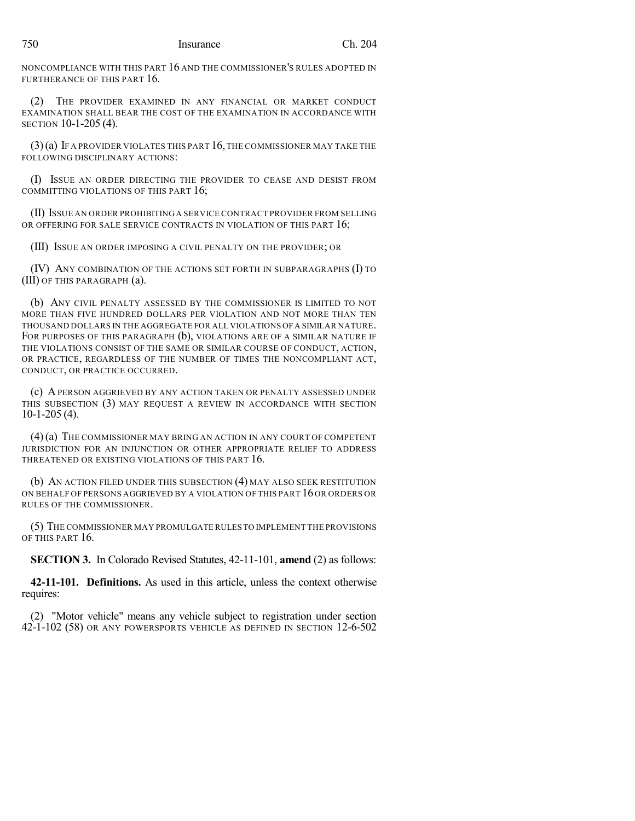NONCOMPLIANCE WITH THIS PART 16 AND THE COMMISSIONER'S RULES ADOPTED IN FURTHERANCE OF THIS PART 16.

(2) THE PROVIDER EXAMINED IN ANY FINANCIAL OR MARKET CONDUCT EXAMINATION SHALL BEAR THE COST OF THE EXAMINATION IN ACCORDANCE WITH SECTION 10-1-205 (4).

 $(3)(a)$  If a provider violates this part 16, the commissioner may take the FOLLOWING DISCIPLINARY ACTIONS:

(I) ISSUE AN ORDER DIRECTING THE PROVIDER TO CEASE AND DESIST FROM COMMITTING VIOLATIONS OF THIS PART 16;

(II) ISSUE AN ORDER PROHIBITING A SERVICE CONTRACT PROVIDER FROM SELLING OR OFFERING FOR SALE SERVICE CONTRACTS IN VIOLATION OF THIS PART 16;

(III) ISSUE AN ORDER IMPOSING A CIVIL PENALTY ON THE PROVIDER; OR

(IV) ANY COMBINATION OF THE ACTIONS SET FORTH IN SUBPARAGRAPHS (I) TO (III) OF THIS PARAGRAPH (a).

(b) ANY CIVIL PENALTY ASSESSED BY THE COMMISSIONER IS LIMITED TO NOT MORE THAN FIVE HUNDRED DOLLARS PER VIOLATION AND NOT MORE THAN TEN THOUSAND DOLLARS IN THE AGGREGATE FOR ALL VIOLATIONS OFA SIMILAR NATURE. FOR PURPOSES OF THIS PARAGRAPH (b), VIOLATIONS ARE OF A SIMILAR NATURE IF THE VIOLATIONS CONSIST OF THE SAME OR SIMILAR COURSE OF CONDUCT, ACTION, OR PRACTICE, REGARDLESS OF THE NUMBER OF TIMES THE NONCOMPLIANT ACT, CONDUCT, OR PRACTICE OCCURRED.

(c) A PERSON AGGRIEVED BY ANY ACTION TAKEN OR PENALTY ASSESSED UNDER THIS SUBSECTION (3) MAY REQUEST A REVIEW IN ACCORDANCE WITH SECTION 10-1-205 (4).

(4)(a) THE COMMISSIONER MAY BRING AN ACTION IN ANY COURT OF COMPETENT JURISDICTION FOR AN INJUNCTION OR OTHER APPROPRIATE RELIEF TO ADDRESS THREATENED OR EXISTING VIOLATIONS OF THIS PART 16.

(b) AN ACTION FILED UNDER THIS SUBSECTION (4) MAY ALSO SEEK RESTITUTION ON BEHALF OF PERSONS AGGRIEVED BY A VIOLATION OF THIS PART 16 OR ORDERS OR RULES OF THE COMMISSIONER.

(5) THE COMMISSIONER MAY PROMULGATE RULES TO IMPLEMENT THE PROVISIONS OF THIS PART 16.

**SECTION 3.** In Colorado Revised Statutes, 42-11-101, **amend** (2) as follows:

**42-11-101. Definitions.** As used in this article, unless the context otherwise requires:

(2) "Motor vehicle" means any vehicle subject to registration under section 42-1-102 (58) OR ANY POWERSPORTS VEHICLE AS DEFINED IN SECTION 12-6-502